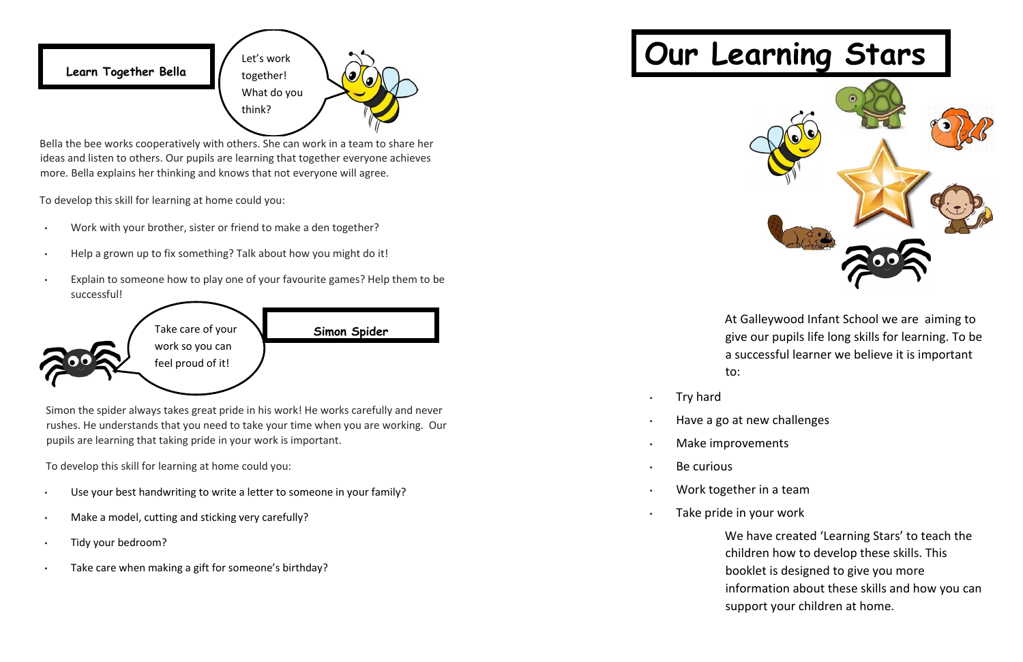**Learn Together Bella** 

Bella the bee works cooperatively with others. She can work in a team to share her ideas and listen to others. Our pupils are learning that together everyone achieves more. Bella explains her thinking and knows that not everyone will agree.

To develop this skill for learning at home could you:

- Work with your brother, sister or friend to make a den together?
- Help a grown up to fix something? Talk about how you might do it!
- Explain to someone how to play one of your favourite games? Help them to be successful!

- Try hard
- Have a go at new challenges
- Make improvements
- Be curious
- Work together in a team
- Take pride in your work

Simon the spider always takes great pride in his work! He works carefully and never rushes. He understands that you need to take your time when you are working. Our pupils are learning that taking pride in your work is important.

To develop this skill for learning at home could you:

- Use your best handwriting to write a letter to someone in your family?
- Make a model, cutting and sticking very carefully?
- Tidy your bedroom?
- Take care when making a gift for someone's birthday?

## **Our Learning Stars**

At Galleywood Infant School we are aiming to give our pupils life long skills for learning. To be a successful learner we believe it is important to:

We have created 'Learning Stars' to teach the children how to develop these skills. This booklet is designed to give you more information about these skills and how you can support your children at home.

- 
- 
- 
-